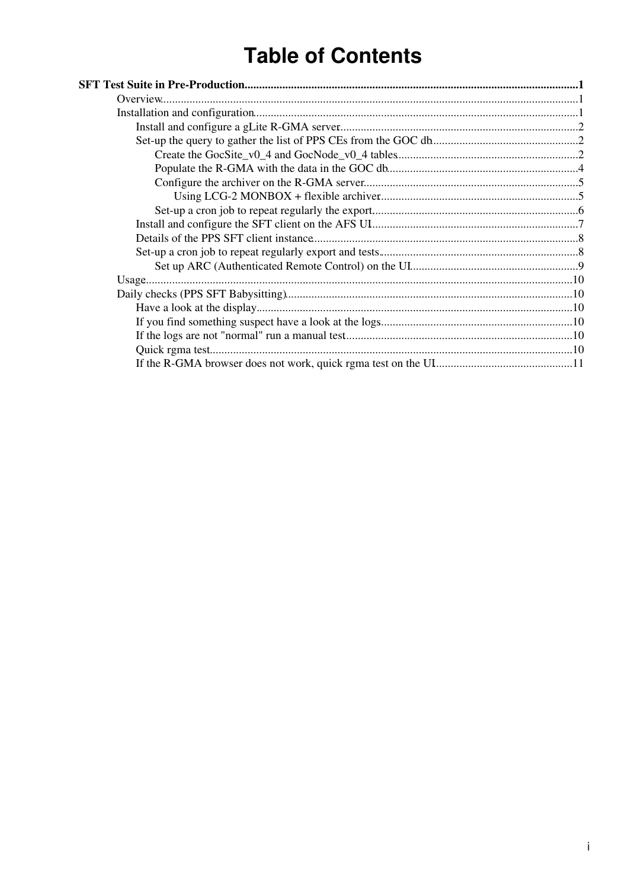# **Table of Contents**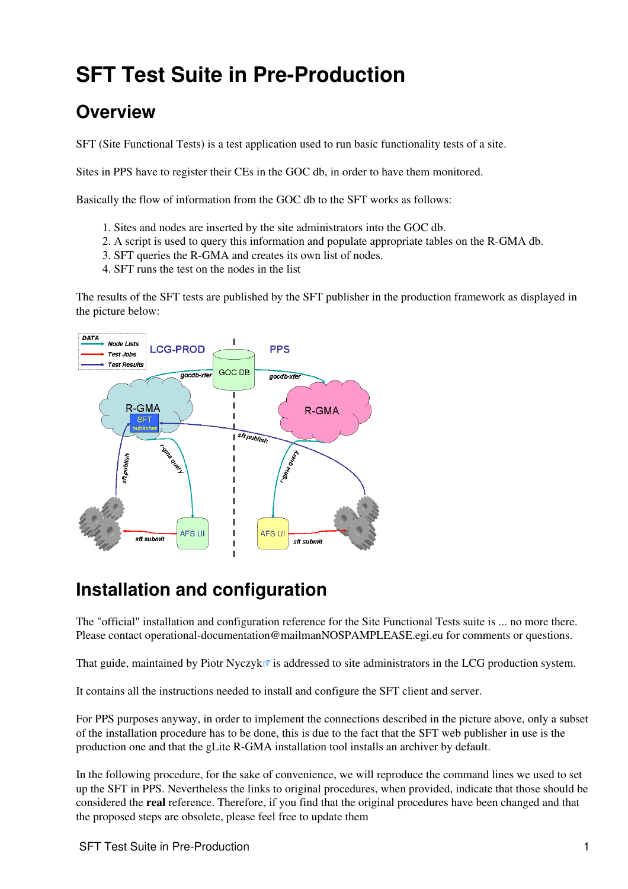# <span id="page-1-0"></span>**SFT Test Suite in Pre-Production**

## <span id="page-1-1"></span>**Overview**

SFT (Site Functional Tests) is a test application used to run basic functionality tests of a site.

Sites in PPS have to register their CEs in the GOC db, in order to have them monitored.

Basically the flow of information from the GOC db to the SFT works as follows:

- 1. Sites and nodes are inserted by the site administrators into the GOC db.
- 2. A script is used to query this information and populate appropriate tables on the R-GMA db.
- 3. SFT queries the R-GMA and creates its own list of nodes.
- 4. SFT runs the test on the nodes in the list

The results of the SFT tests are published by the SFT publisher in the production framework as displayed in the picture below:



## <span id="page-1-2"></span>**Installation and configuration**

The "official" installation and configuration reference for the Site Functional Tests suite is ... no more there. Please contact [operational-documentation@mailmanNOSPAMPLEASE.egi.eu](mailto:operational-documentation@mailmanNOSPAMPLEASE.egi.eu) for comments or questions.

That guide, maintained by Piotr Nyczyk $\mathbb{F}$  is addressed to site administrators in the LCG production system.

It contains all the instructions needed to install and configure the SFT client and server.

For PPS purposes anyway, in order to implement the connections described in the picture above, only a subset of the installation procedure has to be done, this is due to the fact that the SFT web publisher in use is the production one and that the gLite R-GMA installation tool installs an archiver by default.

In the following procedure, for the sake of convenience, we will reproduce the command lines we used to set up the SFT in PPS. Nevertheless the links to original procedures, when provided, indicate that those should be considered the **real** reference. Therefore, if you find that the original procedures have been changed and that the proposed steps are obsolete, please feel free to update them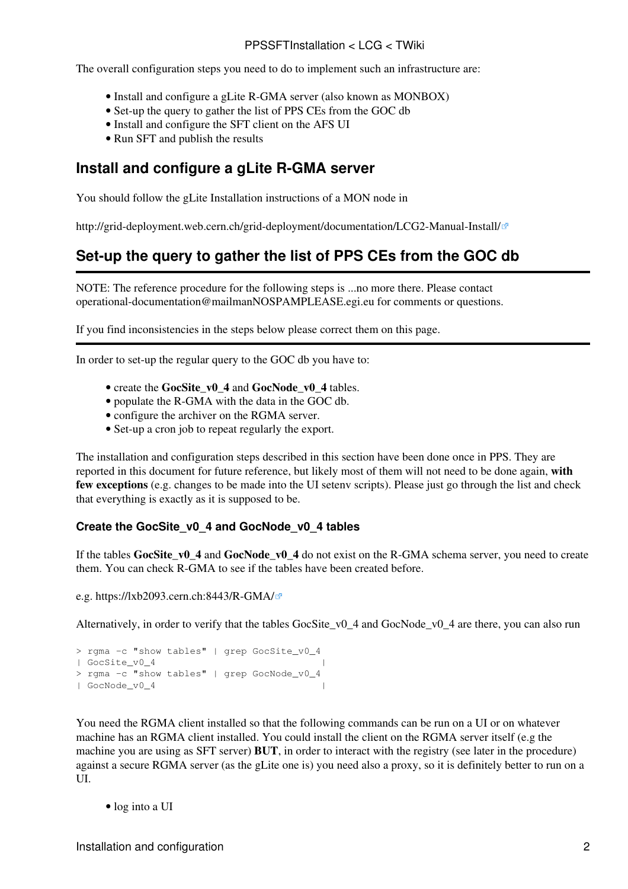The overall configuration steps you need to do to implement such an infrastructure are:

- Install and configure a gLite R-GMA server (also known as MONBOX)
- Set-up the query to gather the list of PPS CEs from the GOC db
- Install and configure the SFT client on the AFS UI
- Run SFT and publish the results

## <span id="page-2-0"></span>**Install and configure a gLite R-GMA server**

You should follow the gLite Installation instructions of a MON node in

<http://grid-deployment.web.cern.ch/grid-deployment/documentation/LCG2-Manual-Install/>

## <span id="page-2-1"></span>**Set-up the query to gather the list of PPS CEs from the GOC db**

NOTE: The reference procedure for the following steps is ...no more there. Please contact [operational-documentation@mailmanNOSPAMPLEASE.egi.eu](mailto:operational-documentation@mailmanNOSPAMPLEASE.egi.eu) for comments or questions.

If you find inconsistencies in the steps below please correct them on this page.

In order to set-up the regular query to the GOC db you have to:

- create the **GocSite** v0 4 and **GocNode** v0 4 tables.
- populate the R-GMA with the data in the GOC db.
- configure the archiver on the RGMA server.
- Set-up a cron job to repeat regularly the export.

The installation and configuration steps described in this section have been done once in PPS. They are reported in this document for future reference, but likely most of them will not need to be done again, **with few exceptions** (e.g. changes to be made into the UI setenv scripts). Please just go through the list and check that everything is exactly as it is supposed to be.

#### <span id="page-2-2"></span>**Create the GocSite\_v0\_4 and GocNode\_v0\_4 tables**

If the tables **GocSite\_v0\_4** and **GocNode\_v0\_4** do not exist on the R-GMA schema server, you need to create them. You can check R-GMA to see if the tables have been created before.

e.g. <https://lxb2093.cern.ch:8443/R-GMA/>

Alternatively, in order to verify that the tables GocSite\_v0\_4 and GocNode\_v0\_4 are there, you can also run

```
> rgma -c "show tables" | grep GocSite_v0_4
| GocSite_v0_4 |
> rgma -c "show tables" | grep GocNode_v0_4
| GocNode_v0_4 |
```
You need the RGMA client installed so that the following commands can be run on a UI or on whatever machine has an RGMA client installed. You could install the client on the RGMA server itself (e.g the machine you are using as SFT server) **BUT**, in order to interact with the registry (see later in the procedure) against a secure RGMA server (as the gLite one is) you need also a proxy, so it is definitely better to run on a UI.

• log into a UI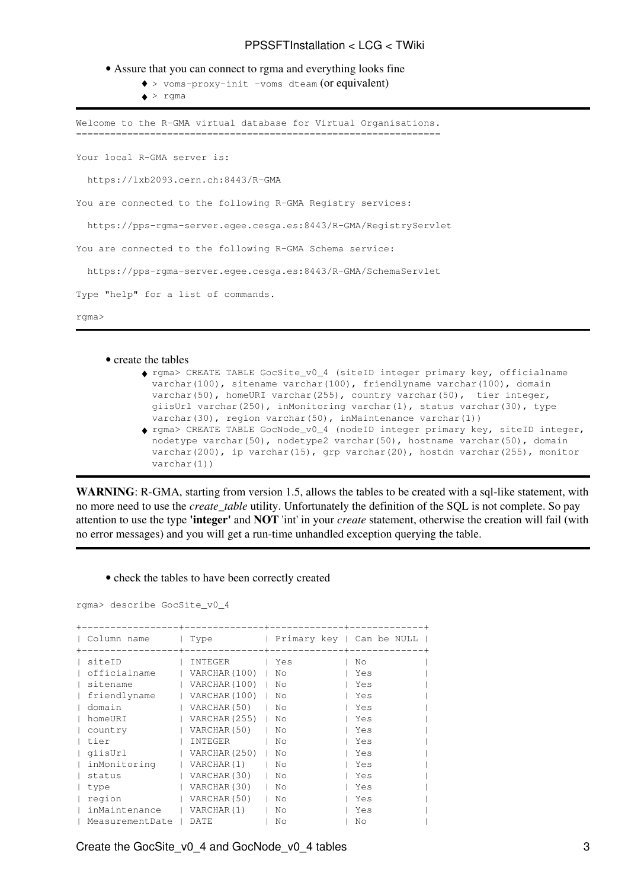- Assure that you can connect to rgma and everything looks fine
	- ♦ > voms-proxy-init -voms dteam (or equivalent)
	- $\bullet$  > rgma

Welcome to the R-GMA virtual database for Virtual Organisations. ================================================================ Your local R-GMA server is:

https://lxb2093.cern.ch:8443/R-GMA

You are connected to the following R-GMA Registry services:

https://pps-rgma-server.egee.cesga.es:8443/R-GMA/RegistryServlet

You are connected to the following R-GMA Schema service:

https://pps-rgma-server.egee.cesga.es:8443/R-GMA/SchemaServlet

Type "help" for a list of commands.

rgma>

#### • create the tables

- rgma> CREATE TABLE GocSite\_v0\_4 (siteID integer primary key, officialname ♦ varchar(100), sitename varchar(100), friendlyname varchar(100), domain varchar(50), homeURI varchar(255), country varchar(50), tier integer, giisUrl varchar(250), inMonitoring varchar(1), status varchar(30), type varchar(30), region varchar(50), inMaintenance varchar(1))
- rgma> CREATE TABLE GocNode\_v0\_4 (nodeID integer primary key, siteID integer, ♦ nodetype varchar(50), nodetype2 varchar(50), hostname varchar(50), domain varchar(200), ip varchar(15), grp varchar(20), hostdn varchar(255), monitor varchar(1))

**WARNING**: R-GMA, starting from version 1.5, allows the tables to be created with a sql-like statement, with no more need to use the *create\_table* utility. Unfortunately the definition of the SQL is not complete. So pay attention to use the type **'integer'** and **NOT** 'int' in your *create* statement, otherwise the creation will fail (with no error messages) and you will get a run-time unhandled exception querying the table.

• check the tables to have been correctly created

```
rgma> describe GocSite_v0_4
```

| Column name     | Type          | Primary key   Can be NULL |     |
|-----------------|---------------|---------------------------|-----|
| siteID          | INTEGER       | Yes                       | No. |
| officialname    | VARCHAR (100) | No.                       | Yes |
| sitename        | VARCHAR (100) | No.                       | Yes |
| friendlyname    | VARCHAR (100) | No.                       | Yes |
| domain          | VARCHAR (50)  | No                        | Yes |
| homeURI         | VARCHAR (255) | No                        | Yes |
| country         | VARCHAR (50)  | No                        | Yes |
| tier            | INTEGER       | No.                       | Yes |
| qiisUrl         | VARCHAR (250) | No.                       | Yes |
| inMonitoring    | VARCHAR(1)    | No                        | Yes |
| status          | VARCHAR (30)  | No                        | Yes |
| type            | VARCHAR (30)  | No.                       | Yes |
| region          | VARCHAR (50)  | No.                       | Yes |
| inMaintenance   | VARCHAR(1)    | No.                       | Yes |
| MeasurementDate | DATE.         | No                        | No  |

Create the GocSite\_v0\_4 and GocNode\_v0\_4 tables 3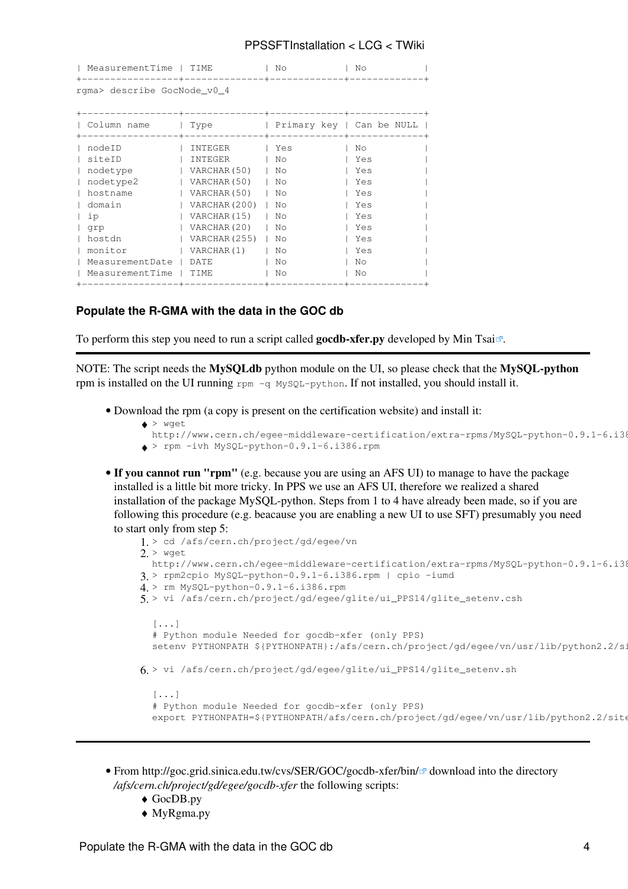| MeasurementTime             | TTMF.<br>------- | No.                       | No  |  |
|-----------------------------|------------------|---------------------------|-----|--|
| rgma> describe GocNode_v0_4 |                  |                           |     |  |
|                             |                  |                           |     |  |
| Column name                 | Type             | Primary key   Can be NULL |     |  |
| nodeID                      | INTEGER          | Yes                       | No  |  |
| siteID                      | INTEGER          | No.                       | Yes |  |
| nodetype                    | VARCHAR (50)     | No.                       | Yes |  |
| nodetype2                   | VARCHAR (50)     | No                        | Yes |  |
| hostname                    | VARCHAR (50)     | No                        | Yes |  |
| domain                      | VARCHAR (200)    | No                        | Yes |  |
| iр                          | VARCHAR (15)     | No                        | Yes |  |
| grp                         | VARCHAR (20)     | No                        | Yes |  |
| hostdn                      | VARCHAR (255)    | No                        | Yes |  |
| monitor                     | VARCHAR(1)       | No.                       | Yes |  |
| MeasurementDate             | DATE             | No.                       | No. |  |
| MeasurementTime             | TIME             | No                        | No  |  |
|                             |                  |                           |     |  |

#### <span id="page-4-0"></span>**Populate the R-GMA with the data in the GOC db**

To perform this step you need to run a script called **gocdb-xfer.py** developed by [Min Tsai](http://consult.cern.ch/xwho/people/108794)<sup>n</sup>.

NOTE: The script needs the **MySQLdb** python module on the UI, so please check that the **MySQL-python** rpm is installed on the UI running  $r_{\text{pm}} - q$  MySQL-python. If not installed, you should install it.

• Download the rpm (a copy is present on the certification website) and install it:

```
> wget
♦ 
 http://www.cern.ch/egee-middleware-certification/extra-rpms/MySQL-python-0.9.1-6.i38
\bullet > rpm -ivh MySQL-python-0.9.1-6.i386.rpm
```
**If you cannot run "rpm"** (e.g. because you are using an AFS UI) to manage to have the package • installed is a little bit more tricky. In PPS we use an AFS UI, therefore we realized a shared installation of the package MySQL-python. Steps from 1 to 4 have already been made, so if you are following this procedure (e.g. beacause you are enabling a new UI to use SFT) presumably you need to start only from step 5:

```
1. > cd /afs/cern.ch/project/gd/egee/vn
2. > wget
 http://www.cern.ch/eqee-middleware-certification/extra-rpms/MySQL-python-0.9.1-6.i38
3. > rpm2cpio MySQL-python-0.9.1-6.i386.rpm | cpio -iumd
4. > rm MySQL-python-0.9.1-6.i386.rpm
> vi /afs/cern.ch/project/gd/egee/glite/ui_PPS14/glite_setenv.csh
5. 
  [\ldots]# Python module Needed for gocdb-xfer (only PPS)
  setenv PYTHONPATH ${PYTHONPATH}:/afs/cern.ch/project/gd/egee/vn/usr/lib/python2.2/si
6. > vi /afs/cern.ch/project/gd/egee/glite/ui_PPS14/glite_setenv.sh
  [\ldots]# Python module Needed for gocdb-xfer (only PPS)
  export PYTHONPATH=${PYTHONPATH/afs/cern.ch/project/gd/egee/vn/usr/lib/python2.2/site
```
- From <http://goc.grid.sinica.edu.tw/cvs/SER/GOC/gocdb-xfer/bin/><sup>a</sup> download into the directory */afs/cern.ch/project/gd/egee/gocdb-xfer* the following scripts:
	- ♦ GocDB.py
	- ♦ MyRgma.py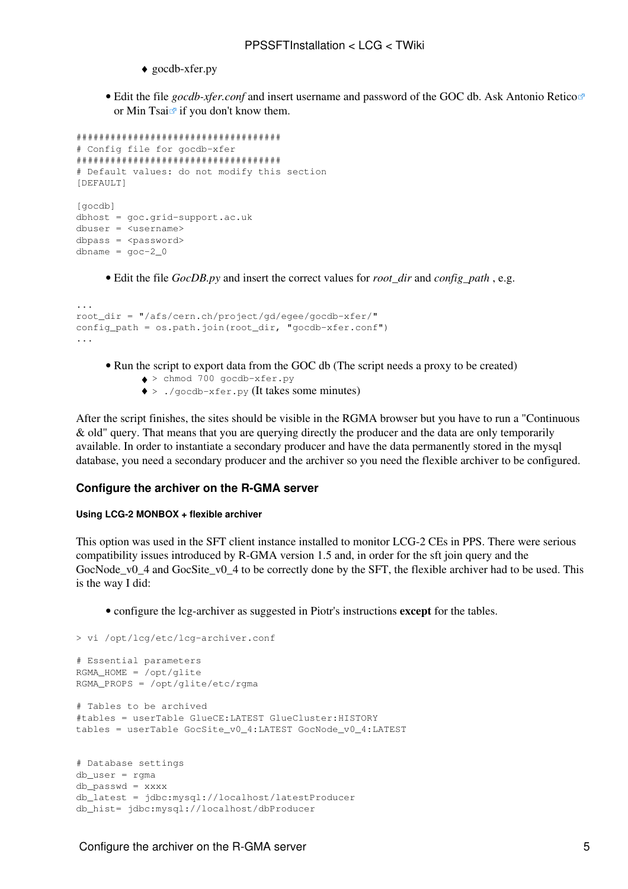- ♦ gocdb-xfer.py
- Edit the file *gocdb-xfer.conf* and insert username and password of the GOC db. Ask [Antonio Retico](http://consult.cern.ch/xwho/people/105548) or [Min Tsai](http://consult.cern.ch/xwho/people/108794)  $\vec{r}$  if you don't know them.

```
####################################
# Config file for gocdb-xfer
####################################
# Default values: do not modify this section
[DEFAULT]
[gocdb]
dbhost = goc.grid-support.ac.uk
dbuser = <username>
dbpass = <p>password</p>dbname = qoc-2 0
```
• Edit the file *GocDB.py* and insert the correct values for *root\_dir* and *config\_path* , e.g.

```
...
root_dir = "/afs/cern.ch/project/gd/egee/gocdb-xfer/"
config_path = os.path.join(root_dir, "gocdb-xfer.conf")
...
```
- Run the script to export data from the GOC db (The script needs a proxy to be created)
	- ♦ > chmod 700 gocdb-xfer.py
	- ♦ > ./gocdb-xfer.py (It takes some minutes)

After the script finishes, the sites should be visible in the RGMA browser but you have to run a "Continuous & old" query. That means that you are querying directly the producer and the data are only temporarily available. In order to instantiate a secondary producer and have the data permanently stored in the mysql database, you need a secondary producer and the archiver so you need the flexible archiver to be configured.

#### <span id="page-5-0"></span>**Configure the archiver on the R-GMA server**

#### <span id="page-5-1"></span>**Using LCG-2 MONBOX + flexible archiver**

This option was used in the SFT client instance installed to monitor LCG-2 CEs in PPS. There were serious compatibility issues introduced by R-GMA version 1.5 and, in order for the sft join query and the GocNode\_v0\_4 and GocSite\_v0\_4 to be correctly done by the SFT, the flexible archiver had to be used. This is the way I did:

• configure the lcg-archiver as suggested in Piotr's instructions **except** for the tables.

```
> vi /opt/lcg/etc/lcg-archiver.conf
```

```
# Essential parameters
RGMA_HOME = /opt/glite
RGMA_PROPS = /opt/glite/etc/rgma
# Tables to be archived
#tables = userTable GlueCE:LATEST GlueCluster:HISTORY
tables = userTable GocSite_v0_4:LATEST GocNode_v0_4:LATEST
# Database settings
db_user = rgma
db_passwd = xxxx
db_latest = jdbc:mysql://localhost/latestProducer
db_hist= jdbc:mysql://localhost/dbProducer
```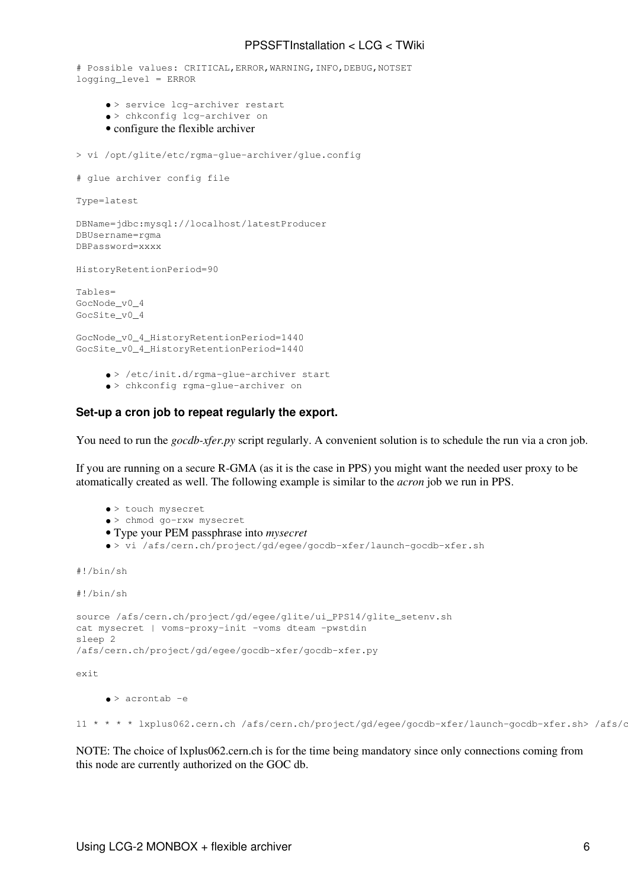```
# Possible values: CRITICAL,ERROR,WARNING,INFO,DEBUG,NOTSET
logging_level = ERROR
     • > service lcg-archiver restart
     • > chkconfig lcg-archiver on
     • configure the flexible archiver
> vi /opt/glite/etc/rgma-glue-archiver/glue.config 
# glue archiver config file
Type=latest
DBName=jdbc:mysql://localhost/latestProducer
DBUsername=rgma
DBPassword=xxxx
HistoryRetentionPeriod=90
Tables=
GocNode_v0_4
GocSite_v0_4
```
GocNode\_v0\_4\_HistoryRetentionPeriod=1440 GocSite\_v0\_4\_HistoryRetentionPeriod=1440

> • > /etc/init.d/rgma-glue-archiver start • > chkconfig rgma-glue-archiver on

#### <span id="page-6-0"></span>**Set-up a cron job to repeat regularly the export.**

You need to run the *gocdb-xfer.py* script regularly. A convenient solution is to schedule the run via a cron job.

If you are running on a secure R-GMA (as it is the case in PPS) you might want the needed user proxy to be atomatically created as well. The following example is similar to the *acron* job we run in PPS.

- > touch mysecret
- > chmod go-rxw mysecret
- Type your PEM passphrase into *mysecret*
- > vi /afs/cern.ch/project/gd/egee/gocdb-xfer/launch-gocdb-xfer.sh

```
#!/bin/sh
```

```
#!/bin/sh
```

```
source /afs/cern.ch/project/gd/egee/glite/ui_PPS14/glite_setenv.sh
cat mysecret | voms-proxy-init -voms dteam -pwstdin
sleep 2
/afs/cern.ch/project/gd/egee/gocdb-xfer/gocdb-xfer.py
exit
```
• > acrontab -e

11 \* \* \* \* lxplus062.cern.ch /afs/cern.ch/project/gd/egee/gocdb-xfer/launch-gocdb-xfer.sh> /afs/c

NOTE: The choice of lxplus062.cern.ch is for the time being mandatory since only connections coming from this node are currently authorized on the GOC db.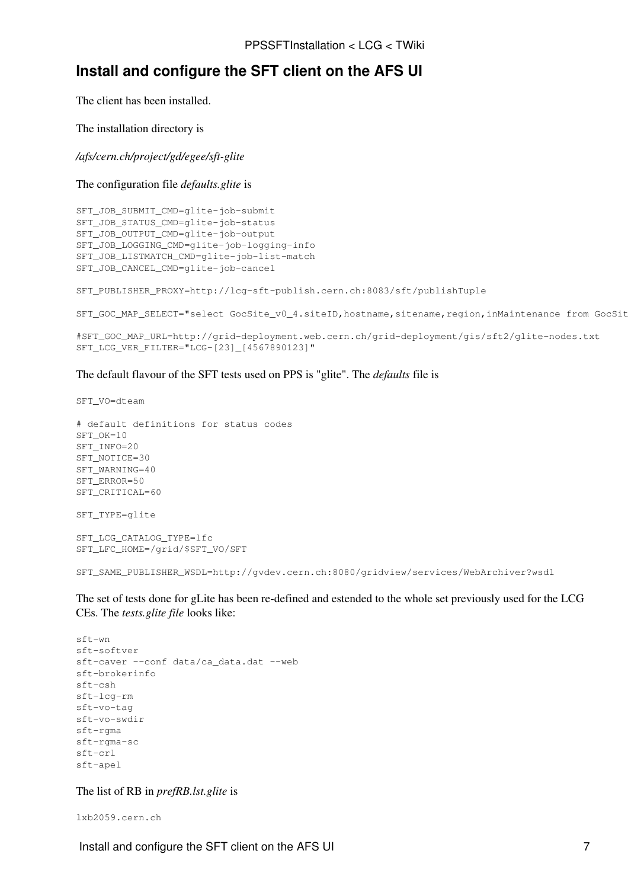## <span id="page-7-0"></span>**Install and configure the SFT client on the AFS UI**

The client has been installed.

The installation directory is

*/afs/cern.ch/project/gd/egee/sft-glite*

The configuration file *defaults.glite* is

SFT JOB SUBMIT CMD=glite-job-submit SFT\_JOB\_STATUS\_CMD=glite-job-status SFT\_JOB\_OUTPUT\_CMD=glite-job-output SFT\_JOB\_LOGGING\_CMD=glite-job-logging-info SFT\_JOB\_LISTMATCH\_CMD=glite-job-list-match SFT\_JOB\_CANCEL\_CMD=glite-job-cancel

SFT\_PUBLISHER\_PROXY=http://lcg-sft-publish.cern.ch:8083/sft/publishTuple

SFT\_GOC\_MAP\_SELECT="select GocSite\_v0\_4.siteID, hostname, sitename, region, inMaintenance from GocSit

```
#SFT_GOC_MAP_URL=http://grid-deployment.web.cern.ch/grid-deployment/gis/sft2/glite-nodes.txt
SFT_LCG_VER_FILTER="LCG-[23]_[4567890123]"
```
#### The default flavour of the SFT tests used on PPS is "glite". The *defaults* file is

SFT\_VO=dteam

```
# default definitions for status codes
SFT_OK=10
SFT_INFO=20
SFT_NOTICE=30
SFT_WARNING=40
SFT_ERROR=50
SFT_CRITICAL=60
SFT_TYPE=glite
SFT_LCG_CATALOG_TYPE=lfc
SFT_LFC_HOME=/grid/$SFT_VO/SFT
SFT_SAME_PUBLISHER_WSDL=http://gvdev.cern.ch:8080/gridview/services/WebArchiver?wsdl
```
The set of tests done for gLite has been re-defined and estended to the whole set previously used for the LCG CEs. The *tests.glite file* looks like:

```
sft-wn 
sft-softver
sft-caver --conf data/ca_data.dat --web
sft-brokerinfo 
sft-csh
sft-lcg-rm
sft-vo-tag
sft-vo-swdir
sft-rgma
sft-rgma-sc
sft-crl
sft-apel
```
The list of RB in *prefRB.lst.glite* is

lxb2059.cern.ch

Install and configure the SFT client on the AFS UI 7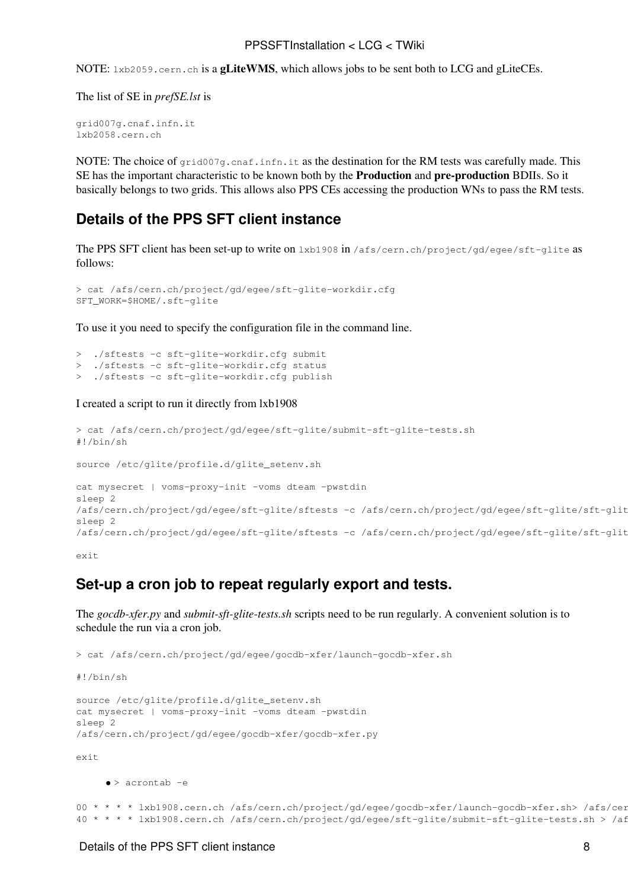NOTE:  $1 \times b2059$ .cern.ch is a **gLiteWMS**, which allows jobs to be sent both to LCG and gLiteCEs.

The list of SE in *prefSE.lst* is

```
grid007g.cnaf.infn.it
lxb2058.cern.ch
```
NOTE: The choice of  $\sigma$ rid007q.cnaf.infn.it as the destination for the RM tests was carefully made. This SE has the important characteristic to be known both by the **Production** and **pre-production** BDIIs. So it basically belongs to two grids. This allows also PPS CEs accessing the production WNs to pass the RM tests.

### <span id="page-8-0"></span>**Details of the PPS SFT client instance**

The PPS SFT client has been set-up to write on lxb1908 in /afs/cern.ch/project/gd/egee/sft-glite as follows:

```
> cat /afs/cern.ch/project/gd/egee/sft-glite-workdir.cfg 
SFT_WORK=$HOME/.sft-glite
```
To use it you need to specify the configuration file in the command line.

> ./sftests -c sft-glite-workdir.cfg submit > ./sftests -c sft-glite-workdir.cfg status > ./sftests -c sft-glite-workdir.cfg publish

#### I created a script to run it directly from lxb1908

```
> cat /afs/cern.ch/project/gd/egee/sft-glite/submit-sft-glite-tests.sh
#!/bin/sh
source /etc/glite/profile.d/glite_setenv.sh
cat mysecret | voms-proxy-init -voms dteam -pwstdin
sleep 2
/afs/cern.ch/project/gd/egee/sft-glite/sftests -c /afs/cern.ch/project/gd/egee/sft-glite/sft-glit
sleep 2
/afs/cern.ch/project/gd/egee/sft-glite/sftests -c /afs/cern.ch/project/gd/egee/sft-glite/sft-glit
```
exit

### <span id="page-8-1"></span>**Set-up a cron job to repeat regularly export and tests.**

The *gocdb-xfer.py* and *submit-sft-glite-tests.sh* scripts need to be run regularly. A convenient solution is to schedule the run via a cron job.

```
> cat /afs/cern.ch/project/gd/egee/gocdb-xfer/launch-gocdb-xfer.sh
#!/bin/sh
source /etc/glite/profile.d/glite_setenv.sh
cat mysecret | voms-proxy-init -voms dteam -pwstdin
sleep 2
/afs/cern.ch/project/gd/egee/gocdb-xfer/gocdb-xfer.py
exit
     \bullet > acrontab -e
```

```
00 * * * * lxb1908.cern.ch /afs/cern.ch/project/gd/egee/gocdb-xfer/launch-gocdb-xfer.sh> /afs/cer
40 * * * * lxb1908.cern.ch /afs/cern.ch/project/gd/egee/sft-glite/submit-sft-glite-tests.sh > /af
```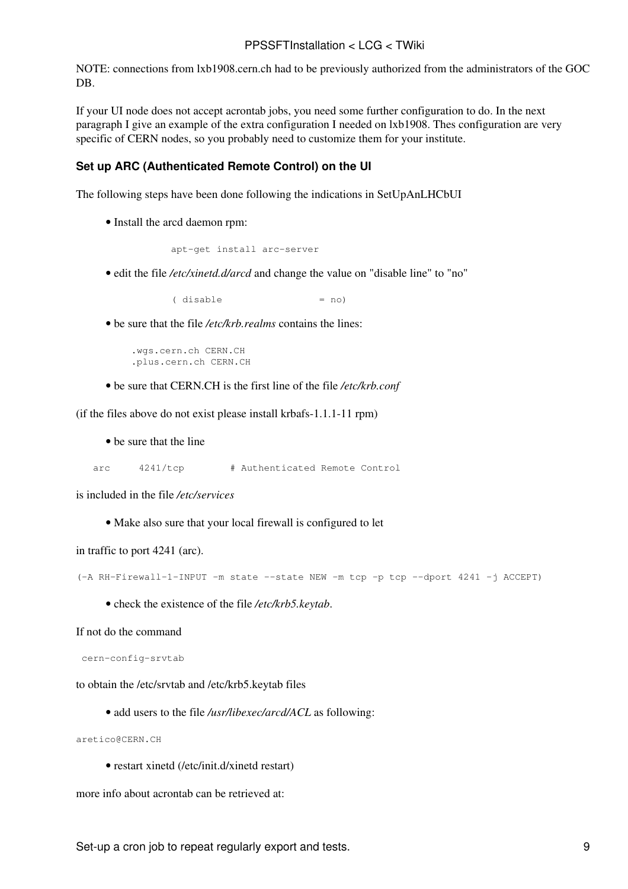NOTE: connections from lxb1908.cern.ch had to be previously authorized from the administrators of the GOC DB.

If your UI node does not accept acrontab jobs, you need some further configuration to do. In the next paragraph I give an example of the extra configuration I needed on lxb1908. Thes configuration are very specific of CERN nodes, so you probably need to customize them for your institute.

#### <span id="page-9-0"></span>**Set up ARC (Authenticated Remote Control) on the UI**

The following steps have been done following the indications in [SetUpAnLHCbUI](https://twiki.cern.ch/twiki/bin/view/LCG/SetUpAnLHCbUI)

• Install the arcd daemon rpm:

```
 apt-get install arc-server
```
• edit the file /etc/xinetd.d/arcd and change the value on "disable line" to "no"

 $(disable = no)$ 

• be sure that the file /etc/krb.realms contains the lines:

```
 .wgs.cern.ch CERN.CH
 .plus.cern.ch CERN.CH
```
• be sure that CERN.CH is the first line of the file */etc/krb.conf*

(if the files above do not exist please install krbafs-1.1.1-11 rpm)

• be sure that the line

arc 4241/tcp # Authenticated Remote Control

is included in the file */etc/services*

• Make also sure that your local firewall is configured to let

in traffic to port 4241 (arc).

```
(-A RH-Firewall-1-INPUT -m state --state NEW -m tcp -p tcp --dport 4241 -j ACCEPT)
```
• check the existence of the file */etc/krb5.keytab*.

If not do the command

cern-config-srvtab

to obtain the /etc/srvtab and /etc/krb5.keytab files

• add users to the file */usr/libexec/arcd/ACL* as following:

aretico@CERN.CH

• restart xinetd (/etc/init.d/xinetd restart)

more info about acrontab can be retrieved at:

Set-up a cron job to repeat regularly export and tests. 9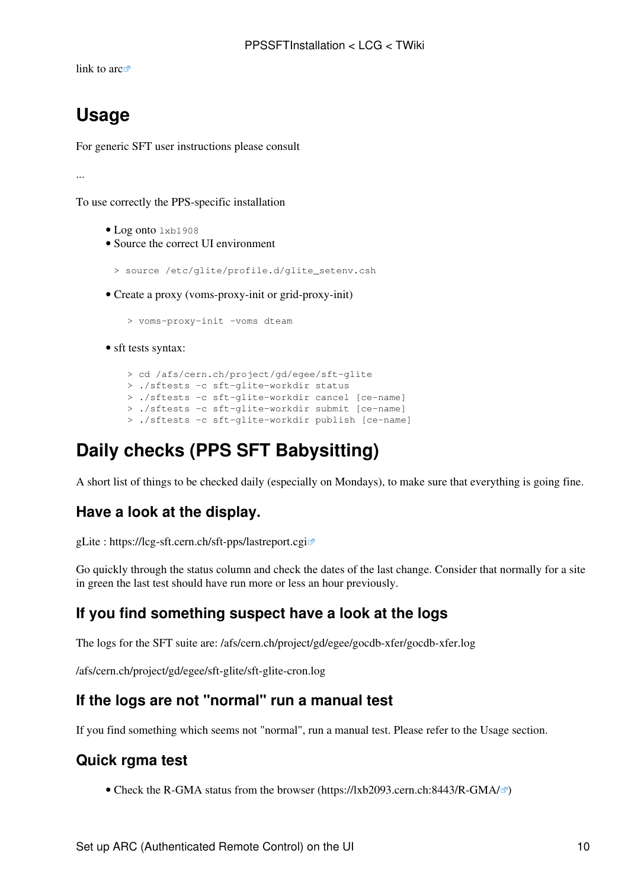[link to arc](http://services.web.cern.ch/services/afs/arc.html) $\mathbb{Z}$ 

## <span id="page-10-0"></span>**Usage**

For generic SFT user instructions please consult

...

To use correctly the PPS-specific installation

- Log onto lxb1908
- Source the correct UI environment

> source /etc/glite/profile.d/glite\_setenv.csh

• Create a proxy (voms-proxy-init or grid-proxy-init)

> voms-proxy-init -voms dteam

• sft tests syntax:

```
 > cd /afs/cern.ch/project/gd/egee/sft-glite
 > ./sftests -c sft-glite-workdir status 
 > ./sftests -c sft-glite-workdir cancel [ce-name]
 > ./sftests -c sft-glite-workdir submit [ce-name]
 > ./sftests -c sft-glite-workdir publish [ce-name]
```
## <span id="page-10-1"></span>**Daily checks (PPS SFT Babysitting)**

A short list of things to be checked daily (especially on Mondays), to make sure that everything is going fine.

## <span id="page-10-2"></span>**Have a look at the display.**

gLite : <https://lcg-sft.cern.ch/sft-pps/lastreport.cgi>

Go quickly through the status column and check the dates of the last change. Consider that normally for a site in green the last test should have run more or less an hour previously.

## <span id="page-10-3"></span>**If you find something suspect have a look at the logs**

The logs for the SFT suite are: /afs/cern.ch/project/gd/egee/gocdb-xfer/gocdb-xfer.log

/afs/cern.ch/project/gd/egee/sft-glite/sft-glite-cron.log

## <span id="page-10-4"></span>**If the logs are not "normal" run a manual test**

If you find something which seems [not "normal",](https://twiki.cern.ch/twiki/bin/view/LCG/PPSSFTLogsNotNormal) run a manual test. Please refer to the Usage section.

### <span id="page-10-5"></span>**Quick rgma test**

• Check the R-GMA status from the browser [\(https://lxb2093.cern.ch:8443/R-GMA/](https://lxb2093.cern.ch:8443/R-GMA/) $\textdegree$ )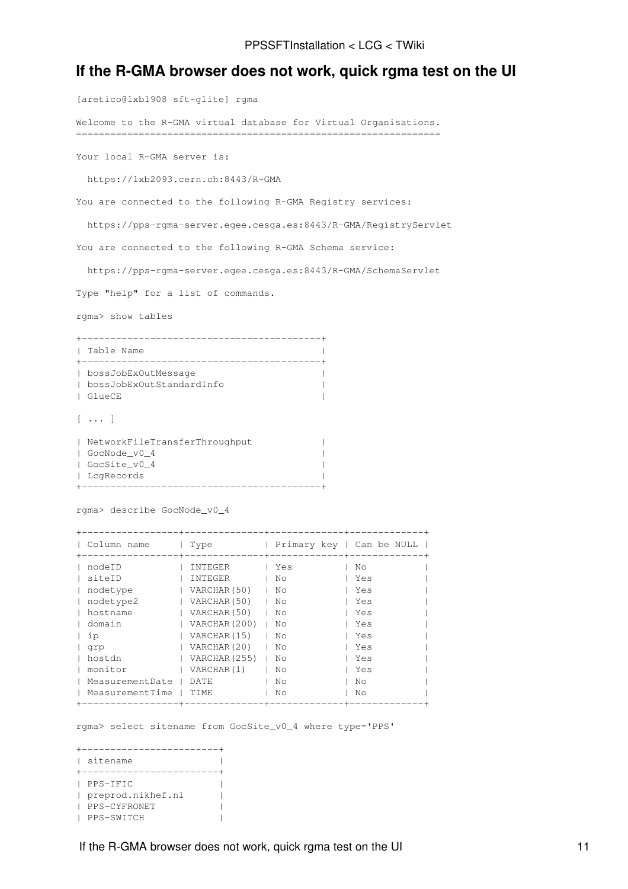### <span id="page-11-0"></span>**If the R-GMA browser does not work, quick rgma test on the UI**

[aretico@lxb1908 sft-glite] rgma Welcome to the R-GMA virtual database for Virtual Organisations. ================================================================ Your local R-GMA server is: https://lxb2093.cern.ch:8443/R-GMA You are connected to the following R-GMA Registry services: https://pps-rgma-server.egee.cesga.es:8443/R-GMA/RegistryServlet You are connected to the following R-GMA Schema service: https://pps-rgma-server.egee.cesga.es:8443/R-GMA/SchemaServlet Type "help" for a list of commands. rgma> show tables +------------------------------------------+ | Table Name | +------------------------------------------+ | bossJobExOutMessage | |<br>| bossJobExOutStandardInfo | | GlueCE | [ ... ] | NetworkFileTransferThroughput | | GocNode\_v0\_4 | | GocSite\_v0\_4 | | LcgRecords | +------------------------------------------+ rgma> describe GocNode\_v0\_4 +-----------------+--------------+-------------+-------------+ | Column name | Type | | Primary key | Can be NULL | +-----------------+--------------+-------------+-------------+

| ∪∪⊥ullill IIallic | T A h C       | Ellmary Rey   Can De NOTH |     |  |
|-------------------|---------------|---------------------------|-----|--|
| nodeID            | INTEGER       | Yes                       | No  |  |
| siteID            | INTEGER       | No                        | Yes |  |
| nodetype          | VARCHAR (50)  | No                        | Yes |  |
| nodetype2         | VARCHAR (50)  | No                        | Yes |  |
| hostname          | VARCHAR (50)  | No                        | Yes |  |
| domain            | VARCHAR (200) | No                        | Yes |  |
| ip                | VARCHAR (15)  | No                        | Yes |  |
| grp               | VARCHAR (20)  | No                        | Yes |  |
| hostdn            | VARCHAR (255) | No                        | Yes |  |
| monitor           | VARCHAR(1)    | No                        | Yes |  |
| MeasurementDate   | DATE.         | No                        | No  |  |
| MeasurementTime   | TTMF.         | No                        | No  |  |
|                   |               |                           |     |  |

rgma> select sitename from GocSite\_v0\_4 where type='PPS'

| sitename          |  |
|-------------------|--|
|                   |  |
| PPS-IFIC          |  |
| preprod.nikhef.nl |  |
| PPS-CYFRONET      |  |
| PPS-SWITCH        |  |

If the R-GMA browser does not work, quick rgma test on the UI 11